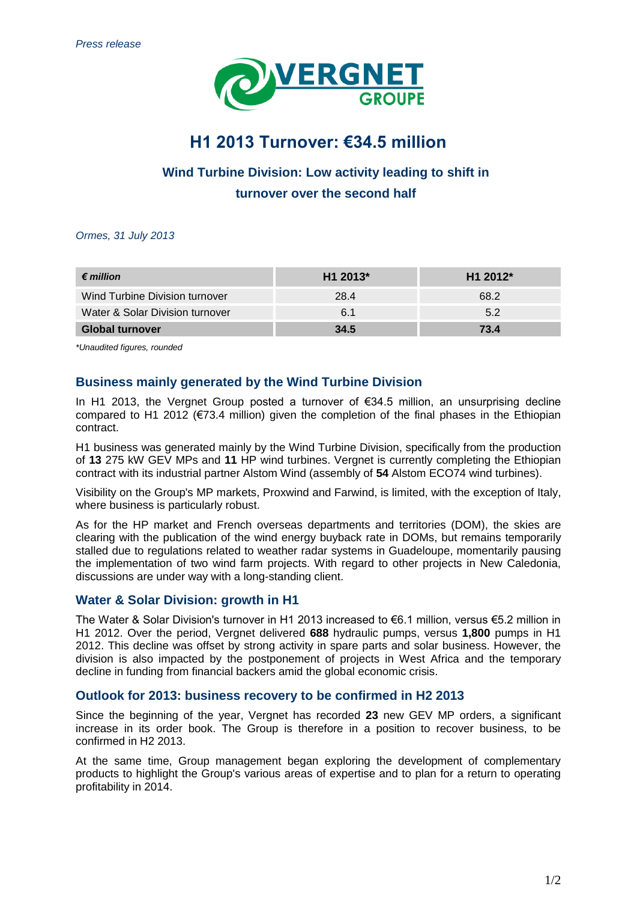

# **H1 2013 Turnover: €34.5 million**

# **Wind Turbine Division: Low activity leading to shift in turnover over the second half**

*Ormes, 31 July 2013*

| $\epsilon$ million              | H1 2013* | H <sub>1</sub> 2012* |
|---------------------------------|----------|----------------------|
| Wind Turbine Division turnover  | 28.4     | 68.2                 |
| Water & Solar Division turnover | 6.1      | 5.2                  |
| <b>Global turnover</b>          | 34.5     | 73.4                 |

*\*Unaudited figures, rounded*

## **Business mainly generated by the Wind Turbine Division**

In H1 2013, the Vergnet Group posted a turnover of €34.5 million, an unsurprising decline compared to H1 2012 (€73.4 million) given the completion of the final phases in the Ethiopian contract.

H1 business was generated mainly by the Wind Turbine Division, specifically from the production of **13** 275 kW GEV MPs and **11** HP wind turbines. Vergnet is currently completing the Ethiopian contract with its industrial partner Alstom Wind (assembly of **54** Alstom ECO74 wind turbines).

Visibility on the Group's MP markets, Proxwind and Farwind, is limited, with the exception of Italy, where business is particularly robust.

As for the HP market and French overseas departments and territories (DOM), the skies are clearing with the publication of the wind energy buyback rate in DOMs, but remains temporarily stalled due to regulations related to weather radar systems in Guadeloupe, momentarily pausing the implementation of two wind farm projects. With regard to other projects in New Caledonia, discussions are under way with a long-standing client.

### **Water & Solar Division: growth in H1**

The Water & Solar Division's turnover in H1 2013 increased to €6.1 million, versus €5.2 million in H1 2012. Over the period, Vergnet delivered **688** hydraulic pumps, versus **1,800** pumps in H1 2012. This decline was offset by strong activity in spare parts and solar business. However, the division is also impacted by the postponement of projects in West Africa and the temporary decline in funding from financial backers amid the global economic crisis.

### **Outlook for 2013: business recovery to be confirmed in H2 2013**

Since the beginning of the year, Vergnet has recorded **23** new GEV MP orders, a significant increase in its order book. The Group is therefore in a position to recover business, to be confirmed in H2 2013.

At the same time, Group management began exploring the development of complementary products to highlight the Group's various areas of expertise and to plan for a return to operating profitability in 2014.